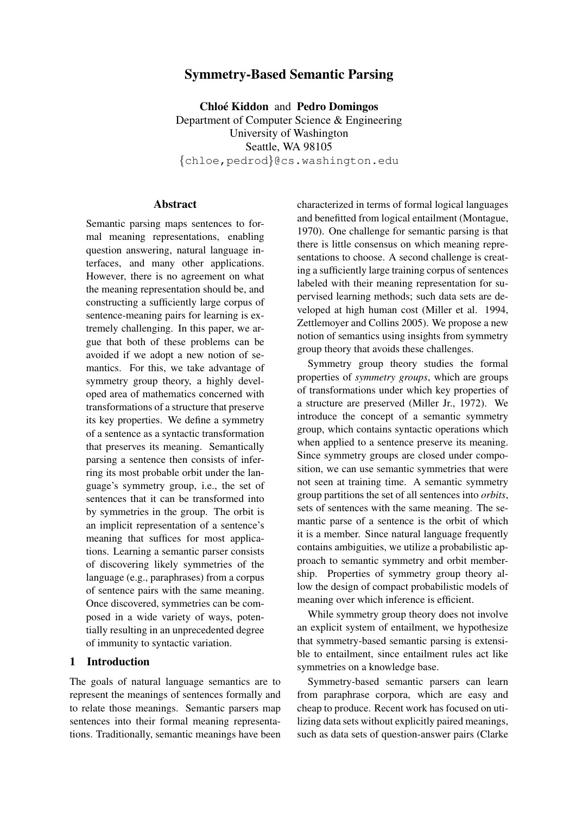# Symmetry-Based Semantic Parsing

Chloé Kiddon and Pedro Domingos Department of Computer Science & Engineering University of Washington Seattle, WA 98105 {chloe,pedrod}@cs.washington.edu

### **Abstract**

Semantic parsing maps sentences to formal meaning representations, enabling question answering, natural language interfaces, and many other applications. However, there is no agreement on what the meaning representation should be, and constructing a sufficiently large corpus of sentence-meaning pairs for learning is extremely challenging. In this paper, we argue that both of these problems can be avoided if we adopt a new notion of semantics. For this, we take advantage of symmetry group theory, a highly developed area of mathematics concerned with transformations of a structure that preserve its key properties. We define a symmetry of a sentence as a syntactic transformation that preserves its meaning. Semantically parsing a sentence then consists of inferring its most probable orbit under the language's symmetry group, i.e., the set of sentences that it can be transformed into by symmetries in the group. The orbit is an implicit representation of a sentence's meaning that suffices for most applications. Learning a semantic parser consists of discovering likely symmetries of the language (e.g., paraphrases) from a corpus of sentence pairs with the same meaning. Once discovered, symmetries can be composed in a wide variety of ways, potentially resulting in an unprecedented degree of immunity to syntactic variation.

# 1 Introduction

The goals of natural language semantics are to represent the meanings of sentences formally and to relate those meanings. Semantic parsers map sentences into their formal meaning representations. Traditionally, semantic meanings have been characterized in terms of formal logical languages and benefitted from logical entailment (Montague, 1970). One challenge for semantic parsing is that there is little consensus on which meaning representations to choose. A second challenge is creating a sufficiently large training corpus of sentences labeled with their meaning representation for supervised learning methods; such data sets are developed at high human cost (Miller et al. 1994, Zettlemoyer and Collins 2005). We propose a new notion of semantics using insights from symmetry group theory that avoids these challenges.

Symmetry group theory studies the formal properties of *symmetry groups*, which are groups of transformations under which key properties of a structure are preserved (Miller Jr., 1972). We introduce the concept of a semantic symmetry group, which contains syntactic operations which when applied to a sentence preserve its meaning. Since symmetry groups are closed under composition, we can use semantic symmetries that were not seen at training time. A semantic symmetry group partitions the set of all sentences into *orbits*, sets of sentences with the same meaning. The semantic parse of a sentence is the orbit of which it is a member. Since natural language frequently contains ambiguities, we utilize a probabilistic approach to semantic symmetry and orbit membership. Properties of symmetry group theory allow the design of compact probabilistic models of meaning over which inference is efficient.

While symmetry group theory does not involve an explicit system of entailment, we hypothesize that symmetry-based semantic parsing is extensible to entailment, since entailment rules act like symmetries on a knowledge base.

Symmetry-based semantic parsers can learn from paraphrase corpora, which are easy and cheap to produce. Recent work has focused on utilizing data sets without explicitly paired meanings, such as data sets of question-answer pairs (Clarke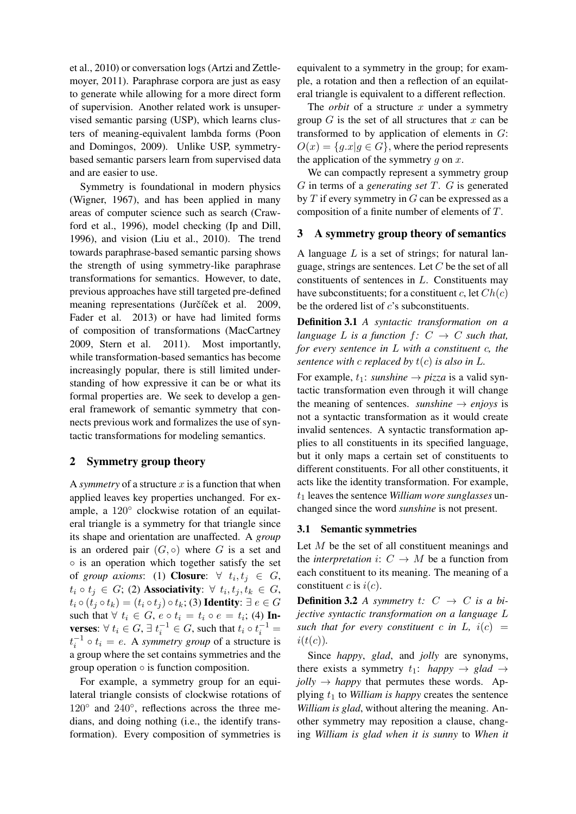et al., 2010) or conversation logs (Artzi and Zettlemoyer, 2011). Paraphrase corpora are just as easy to generate while allowing for a more direct form of supervision. Another related work is unsupervised semantic parsing (USP), which learns clusters of meaning-equivalent lambda forms (Poon and Domingos, 2009). Unlike USP, symmetrybased semantic parsers learn from supervised data and are easier to use.

Symmetry is foundational in modern physics (Wigner, 1967), and has been applied in many areas of computer science such as search (Crawford et al., 1996), model checking (Ip and Dill, 1996), and vision (Liu et al., 2010). The trend towards paraphrase-based semantic parsing shows the strength of using symmetry-like paraphrase transformations for semantics. However, to date, previous approaches have still targeted pre-defined meaning representations (Jurčíček et al. 2009, Fader et al. 2013) or have had limited forms of composition of transformations (MacCartney 2009, Stern et al. 2011). Most importantly, while transformation-based semantics has become increasingly popular, there is still limited understanding of how expressive it can be or what its formal properties are. We seek to develop a general framework of semantic symmetry that connects previous work and formalizes the use of syntactic transformations for modeling semantics.

## 2 Symmetry group theory

A *symmetry* of a structure  $x$  is a function that when applied leaves key properties unchanged. For example, a 120° clockwise rotation of an equilateral triangle is a symmetry for that triangle since its shape and orientation are unaffected. A *group* is an ordered pair  $(G, \circ)$  where G is a set and ◦ is an operation which together satisfy the set of *group axioms*: (1) **Closure**:  $\forall$   $t_i, t_j \in G$ ,  $t_i \circ t_j \in G$ ; (2) Associativity:  $\forall t_i, t_j, t_k \in G$ ,  $t_i \circ (t_j \circ t_k) = (t_i \circ t_j) \circ t_k$ ; (3) Identity:  $\exists e \in G$ such that  $\forall t_i \in G$ ,  $e \circ t_i = t_i \circ e = t_i$ ; (4) Inverses:  $\forall t_i \in G$ ,  $\exists t_i^{-1} \in G$ , such that  $t_i \circ t_i^{-1} =$  $t_i^{-1} \circ t_i = e$ . A *symmetry group* of a structure is a group where the set contains symmetries and the group operation  $\circ$  is function composition.

For example, a symmetry group for an equilateral triangle consists of clockwise rotations of 120° and 240°, reflections across the three medians, and doing nothing (i.e., the identify transformation). Every composition of symmetries is

equivalent to a symmetry in the group; for example, a rotation and then a reflection of an equilateral triangle is equivalent to a different reflection.

The *orbit* of a structure  $x$  under a symmetry group  $G$  is the set of all structures that  $x$  can be transformed to by application of elements in G:  $O(x) = \{g.x | g \in G\}$ , where the period represents the application of the symmetry  $q$  on  $x$ .

We can compactly represent a symmetry group G in terms of a *generating set* T. G is generated by  $T$  if every symmetry in  $G$  can be expressed as a composition of a finite number of elements of T.

### 3 A symmetry group theory of semantics

A language  $L$  is a set of strings; for natural language, strings are sentences. Let  $C$  be the set of all constituents of sentences in L. Constituents may have subconstituents; for a constituent c, let  $Ch(c)$ be the ordered list of  $c$ 's subconstituents.

Definition 3.1 *A syntactic transformation on a language* L *is a function*  $f: C \rightarrow C$  *such that, for every sentence in* L *with a constituent* c*, the sentence with c replaced by*  $t(c)$  *is also in L*.

For example,  $t_1$ : *sunshine*  $\rightarrow$  *pizza* is a valid syntactic transformation even through it will change the meaning of sentences. *sunshine*  $\rightarrow$  *enjoys* is not a syntactic transformation as it would create invalid sentences. A syntactic transformation applies to all constituents in its specified language, but it only maps a certain set of constituents to different constituents. For all other constituents, it acts like the identity transformation. For example,  $t_1$  leaves the sentence *William wore sunglasses* unchanged since the word *sunshine* is not present.

#### 3.1 Semantic symmetries

Let  $M$  be the set of all constituent meanings and the *interpretation* i:  $C \rightarrow M$  be a function from each constituent to its meaning. The meaning of a constituent c is  $i(c)$ .

**Definition 3.2** *A symmetry*  $t: C \rightarrow C$  *is a bijective syntactic transformation on a language* L *such that for every constituent* c in L,  $i(c)$  =  $i(t(c))$ .

Since *happy*, *glad*, and *jolly* are synonyms, there exists a symmetry  $t_1$ : *happy*  $\rightarrow$  *glad*  $\rightarrow$  $jolly \rightarrow happy$  that permutes these words. Applying  $t_1$  to *William is happy* creates the sentence *William is glad*, without altering the meaning. Another symmetry may reposition a clause, changing *William is glad when it is sunny* to *When it*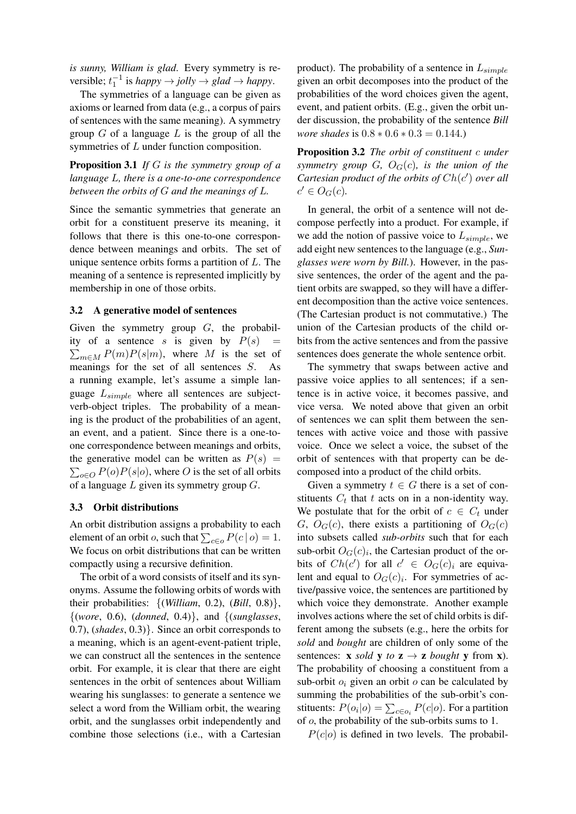*is sunny, William is glad*. Every symmetry is reversible;  $t_1^{-1}$  is *happy*  $\rightarrow$  *jolly*  $\rightarrow$  *glad*  $\rightarrow$  *happy*.

The symmetries of a language can be given as axioms or learned from data (e.g., a corpus of pairs of sentences with the same meaning). A symmetry group  $G$  of a language  $L$  is the group of all the symmetries of L under function composition.

# Proposition 3.1 *If* G *is the symmetry group of a language* L*, there is a one-to-one correspondence between the orbits of* G *and the meanings of* L*.*

Since the semantic symmetries that generate an orbit for a constituent preserve its meaning, it follows that there is this one-to-one correspondence between meanings and orbits. The set of unique sentence orbits forms a partition of  $L$ . The meaning of a sentence is represented implicitly by membership in one of those orbits.

#### 3.2 A generative model of sentences

Given the symmetry group  $G$ , the probability of a sentence s is given by  $P(s)$  =  $\sum_{m \in M} P(m)P(s|m)$ , where M is the set of meanings for the set of all sentences S. As a running example, let's assume a simple language  $L_{simple}$  where all sentences are subjectverb-object triples. The probability of a meaning is the product of the probabilities of an agent, an event, and a patient. Since there is a one-toone correspondence between meanings and orbits, the generative model can be written as  $P(s)$  =  $\sum_{o \in O} P(o)P(s|o)$ , where O is the set of all orbits of a language  $L$  given its symmetry group  $G$ .

#### 3.3 Orbit distributions

An orbit distribution assigns a probability to each element of an orbit *o*, such that  $\sum_{c \in o} P(c | o) = 1$ . We focus on orbit distributions that can be written compactly using a recursive definition.

The orbit of a word consists of itself and its synonyms. Assume the following orbits of words with their probabilities: {(*William*, 0.2), (*Bill*, 0.8)}, {(*wore*, 0.6), (*donned*, 0.4)}, and {(*sunglasses*, 0.7), (*shades*, 0.3)}. Since an orbit corresponds to a meaning, which is an agent-event-patient triple, we can construct all the sentences in the sentence orbit. For example, it is clear that there are eight sentences in the orbit of sentences about William wearing his sunglasses: to generate a sentence we select a word from the William orbit, the wearing orbit, and the sunglasses orbit independently and combine those selections (i.e., with a Cartesian product). The probability of a sentence in  $L_{simple}$ given an orbit decomposes into the product of the probabilities of the word choices given the agent, event, and patient orbits. (E.g., given the orbit under discussion, the probability of the sentence *Bill wore shades* is  $0.8 * 0.6 * 0.3 = 0.144$ .

Proposition 3.2 *The orbit of constituent* c *under symmetry group*  $G$ *,*  $O_G(c)$ *, is the union of the* Cartesian product of the orbits of  $Ch(c')$  over all  $c' \in O_G(c)$ .

In general, the orbit of a sentence will not decompose perfectly into a product. For example, if we add the notion of passive voice to  $L_{simple}$ , we add eight new sentences to the language (e.g., *Sunglasses were worn by Bill.*). However, in the passive sentences, the order of the agent and the patient orbits are swapped, so they will have a different decomposition than the active voice sentences. (The Cartesian product is not commutative.) The union of the Cartesian products of the child orbits from the active sentences and from the passive sentences does generate the whole sentence orbit.

The symmetry that swaps between active and passive voice applies to all sentences; if a sentence is in active voice, it becomes passive, and vice versa. We noted above that given an orbit of sentences we can split them between the sentences with active voice and those with passive voice. Once we select a voice, the subset of the orbit of sentences with that property can be decomposed into a product of the child orbits.

Given a symmetry  $t \in G$  there is a set of constituents  $C_t$  that t acts on in a non-identity way. We postulate that for the orbit of  $c \in C_t$  under G,  $O_G(c)$ , there exists a partitioning of  $O_G(c)$ into subsets called *sub-orbits* such that for each sub-orbit  $O<sub>G</sub>(c)<sub>i</sub>$ , the Cartesian product of the orbits of  $Ch(c')$  for all  $c' \in O_G(c)_i$  are equivalent and equal to  $O<sub>G</sub>(c)<sub>i</sub>$ . For symmetries of active/passive voice, the sentences are partitioned by which voice they demonstrate. Another example involves actions where the set of child orbits is different among the subsets (e.g., here the orbits for *sold* and *bought* are children of only some of the sentences: **x** *sold* **y** *to* **z**  $\rightarrow$  **z** *bought* **y** from **x**). The probability of choosing a constituent from a sub-orbit  $o_i$  given an orbit  $o$  can be calculated by summing the probabilities of the sub-orbit's constituents:  $P(o_i|o) = \sum_{c \in o_i} P(c|o)$ . For a partition of o, the probability of the sub-orbits sums to 1.

 $P(c|o)$  is defined in two levels. The probabil-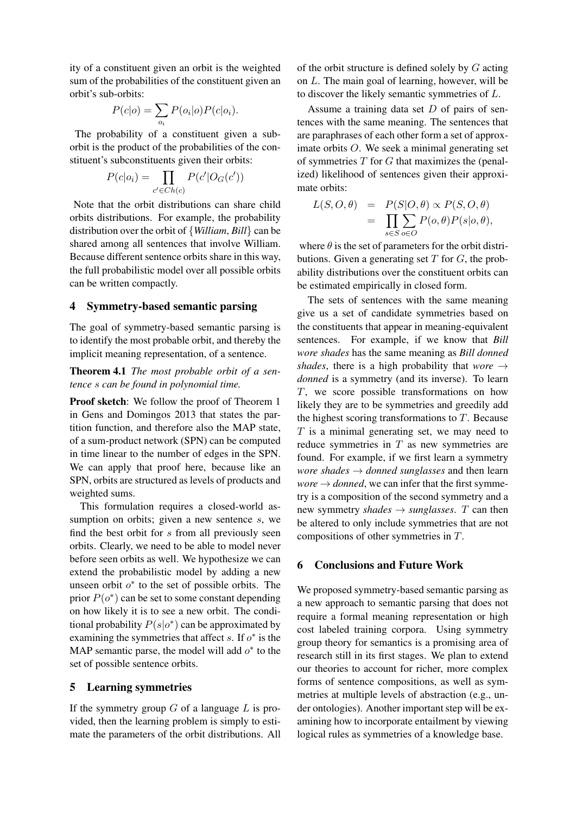ity of a constituent given an orbit is the weighted sum of the probabilities of the constituent given an orbit's sub-orbits:

$$
P(c|o) = \sum_{o_i} P(o_i|o)P(c|o_i).
$$

The probability of a constituent given a suborbit is the product of the probabilities of the constituent's subconstituents given their orbits:

$$
P(c|o_i) = \prod_{c' \in Ch(c)} P(c'|O_G(c'))
$$

Note that the orbit distributions can share child orbits distributions. For example, the probability distribution over the orbit of {*William*, *Bill*} can be shared among all sentences that involve William. Because different sentence orbits share in this way, the full probabilistic model over all possible orbits can be written compactly.

#### 4 Symmetry-based semantic parsing

The goal of symmetry-based semantic parsing is to identify the most probable orbit, and thereby the implicit meaning representation, of a sentence.

## Theorem 4.1 *The most probable orbit of a sentence* s *can be found in polynomial time.*

Proof sketch: We follow the proof of Theorem 1 in Gens and Domingos 2013 that states the partition function, and therefore also the MAP state, of a sum-product network (SPN) can be computed in time linear to the number of edges in the SPN. We can apply that proof here, because like an SPN, orbits are structured as levels of products and weighted sums.

This formulation requires a closed-world assumption on orbits; given a new sentence s, we find the best orbit for  $s$  from all previously seen orbits. Clearly, we need to be able to model never before seen orbits as well. We hypothesize we can extend the probabilistic model by adding a new unseen orbit  $o^*$  to the set of possible orbits. The prior  $P(o^*)$  can be set to some constant depending on how likely it is to see a new orbit. The conditional probability  $P(s|o^*)$  can be approximated by examining the symmetries that affect  $s$ . If  $o^*$  is the MAP semantic parse, the model will add  $o^*$  to the set of possible sentence orbits.

### 5 Learning symmetries

If the symmetry group  $G$  of a language  $L$  is provided, then the learning problem is simply to estimate the parameters of the orbit distributions. All of the orbit structure is defined solely by G acting on L. The main goal of learning, however, will be to discover the likely semantic symmetries of L.

Assume a training data set  $D$  of pairs of sentences with the same meaning. The sentences that are paraphrases of each other form a set of approximate orbits O. We seek a minimal generating set of symmetries  $T$  for  $G$  that maximizes the (penalized) likelihood of sentences given their approximate orbits:

$$
L(S, O, \theta) = P(S|O, \theta) \propto P(S, O, \theta)
$$
  
= 
$$
\prod_{s \in S} \sum_{o \in O} P(o, \theta) P(s|o, \theta),
$$

where  $\theta$  is the set of parameters for the orbit distributions. Given a generating set  $T$  for  $G$ , the probability distributions over the constituent orbits can be estimated empirically in closed form.

The sets of sentences with the same meaning give us a set of candidate symmetries based on the constituents that appear in meaning-equivalent sentences. For example, if we know that *Bill wore shades* has the same meaning as *Bill donned shades*, there is a high probability that  $wore \rightarrow$ *donned* is a symmetry (and its inverse). To learn T, we score possible transformations on how likely they are to be symmetries and greedily add the highest scoring transformations to  $T$ . Because  $T$  is a minimal generating set, we may need to reduce symmetries in  $T$  as new symmetries are found. For example, if we first learn a symmetry *wore shades* → *donned sunglasses* and then learn  $\omega$ *wore*  $\rightarrow$  *donned*, we can infer that the first symmetry is a composition of the second symmetry and a new symmetry *shades*  $\rightarrow$  *sunglasses.* T can then be altered to only include symmetries that are not compositions of other symmetries in T.

## 6 Conclusions and Future Work

We proposed symmetry-based semantic parsing as a new approach to semantic parsing that does not require a formal meaning representation or high cost labeled training corpora. Using symmetry group theory for semantics is a promising area of research still in its first stages. We plan to extend our theories to account for richer, more complex forms of sentence compositions, as well as symmetries at multiple levels of abstraction (e.g., under ontologies). Another important step will be examining how to incorporate entailment by viewing logical rules as symmetries of a knowledge base.